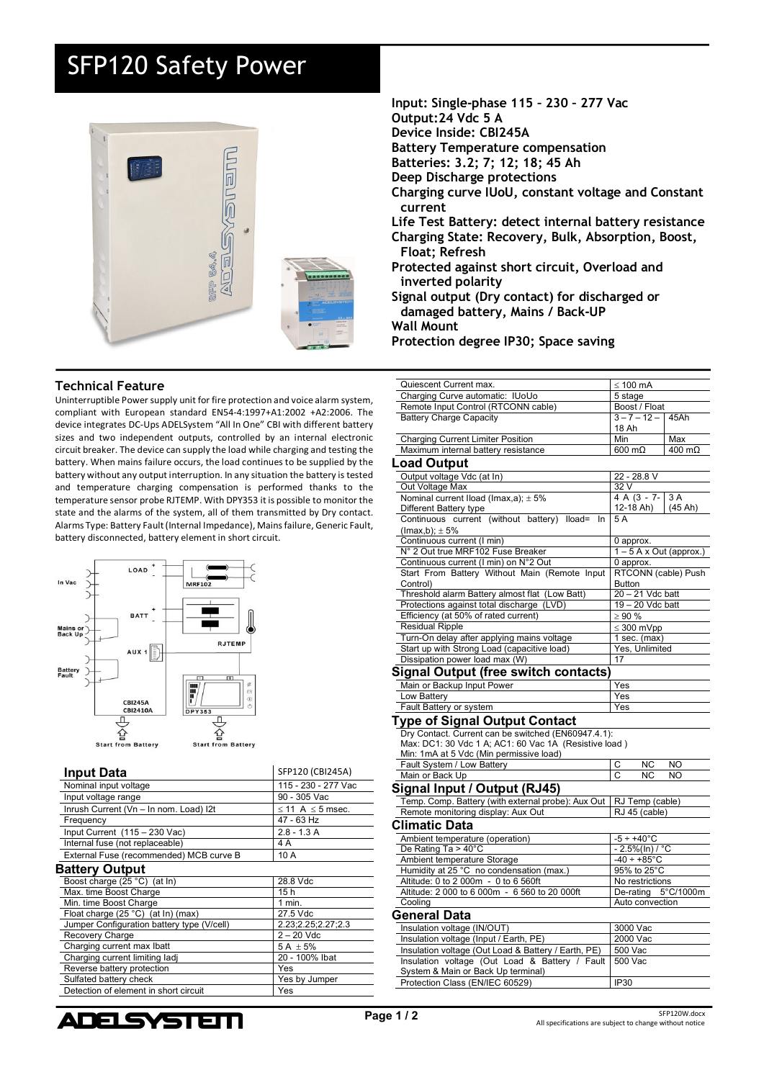## SFP120 Safety Power



## **Technical Feature**

Uninterruptible Power supply unit for fire protection and voice alarm system, compliant with European standard EN54-4:1997+A1:2002 +A2:2006. The device integrates DC-Ups ADELSystem "All In One" CBI with different battery sizes and two independent outputs, controlled by an internal electronic circuit breaker. The device can supply the load while charging and testing the battery. When mains failure occurs, the load continues to be supplied by the battery without any output interruption. In any situation the battery is tested and temperature charging compensation is performed thanks to the temperature sensor probe RJTEMP. With DPY353 it is possible to monitor the state and the alarms of the system, all of them transmitted by Dry contact. Alarms Type: Battery Fault (Internal Impedance), Mains failure, Generic Fault, battery disconnected, battery element in short circuit.



| <b>Input Data</b>                          | SFP120 (CBI245A)           |
|--------------------------------------------|----------------------------|
| Nominal input voltage                      | 115 - 230 - 277 Vac        |
| Input voltage range                        | 90 - 305 Vac               |
| Inrush Current (Vn - In nom. Load) I2t     | $\leq$ 11 A $\leq$ 5 msec. |
| Frequency                                  | 47 - 63 Hz                 |
| Input Current (115 - 230 Vac)              | $2.8 - 1.3 A$              |
| Internal fuse (not replaceable)            | 4 A                        |
| External Fuse (recommended) MCB curve B    | 10A                        |
| <b>Battery Output</b>                      |                            |
| Boost charge (25 °C) (at ln)               | 28.8 Vdc                   |
| Max. time Boost Charge                     | 15h                        |
| Min. time Boost Charge                     | $1$ min.                   |
| Float charge (25 °C) (at In) (max)         | 27.5 Vdc                   |
| Jumper Configuration battery type (V/cell) | 2.23;2.25;2.27;2.3         |
| Recovery Charge                            | $2 - 20$ Vdc               |
| Charging current max Ibatt                 | 5 A $\pm$ 5%               |
| Charging current limiting ladj             | 20 - 100% Ibat             |
| Reverse battery protection                 | Yes                        |
| Sulfated battery check                     | Yes by Jumper              |
| Detection of element in short circuit      | Yes                        |
|                                            |                            |

**Input: Single-phase 115 – 230 – 277 Vac Output:24 Vdc 5 A Device Inside: CBI245A Battery Temperature compensation Batteries: 3.2; 7; 12; 18; 45 Ah Deep Discharge protections Charging curve IUoU, constant voltage and Constant current Life Test Battery: detect internal battery resistance Charging State: Recovery, Bulk, Absorption, Boost, Float; Refresh Protected against short circuit, Overload and inverted polarity Signal output (Dry contact) for discharged or damaged battery, Mains / Back-UP Wall Mount**

**Protection degree IP30; Space saving**

| Quiescent Current max.                                                   | $\leq 100$ mA                           |           |
|--------------------------------------------------------------------------|-----------------------------------------|-----------|
| Charging Curve automatic: IUoUo                                          | 5 stage                                 |           |
| Remote Input Control (RTCONN cable)                                      | Boost / Float                           |           |
| <b>Battery Charge Capacity</b>                                           | $3 - 7 - 12 -$<br>18 Ah                 | 45Ah      |
| <b>Charging Current Limiter Position</b>                                 | Min                                     | Max       |
| Maximum internal battery resistance                                      | $600 \text{ m}\Omega$                   | 400 mΩ    |
|                                                                          |                                         |           |
| Load Output                                                              |                                         |           |
| Output voltage Vdc (at In)                                               | 22 - 28.8 V                             |           |
| Out Voltage Max                                                          | 32 V<br>4 A (3 - 7-                     | 3A        |
| Nominal current Iload (Imax, a); $\pm$ 5%                                | 12-18 Ah)                               | (45 Ah)   |
| Different Battery type<br>Continuous current (without battery) Iload= In | 5A                                      |           |
| $($ lmax,b $)$ ; $\pm$ 5%                                                |                                         |           |
| Continuous current (I min)                                               | 0 approx.                               |           |
| N° 2 Out true MRF102 Fuse Breaker                                        | $1 - 5$ A x Out (approx.)               |           |
| Continuous current (I min) on N°2 Out                                    | 0 approx.                               |           |
| Start From Battery Without Main (Remote Input                            | RTCONN (cable) Push                     |           |
| Control)                                                                 | <b>Button</b>                           |           |
| Threshold alarm Battery almost flat (Low Batt)                           | 20 - 21 Vdc batt                        |           |
| Protections against total discharge (LVD)                                | 19 - 20 Vdc batt                        |           |
| Efficiency (at 50% of rated current)                                     | $\geq 90\%$                             |           |
| <b>Residual Ripple</b>                                                   | $\leq 300$ mVpp                         |           |
| Turn-On delay after applying mains voltage                               | $1$ sec. (max)                          |           |
| Start up with Strong Load (capacitive load)                              | Yes, Unlimited                          |           |
| Dissipation power load max (W)                                           | 17                                      |           |
| Signal Output (free switch contacts)                                     |                                         |           |
| Main or Backup Input Power                                               | Yes                                     |           |
| Low Battery                                                              | Yes                                     |           |
| Fault Battery or system                                                  | Yes                                     |           |
| <b>Type of Signal Output Contact</b>                                     |                                         |           |
| Dry Contact. Current can be switched (EN60947.4.1):                      |                                         |           |
| Max: DC1: 30 Vdc 1 A; AC1: 60 Vac 1A (Resistive load)                    |                                         |           |
| Min: 1mA at 5 Vdc (Min permissive load)                                  |                                         |           |
| Fault System / Low Battery                                               | <b>NC</b><br>С                          | <b>NO</b> |
| Main or Back Up                                                          | C<br>ΝC                                 | NO        |
| Signal Input / Output (RJ45)                                             |                                         |           |
| Temp. Comp. Battery (with external probe): Aux Out                       | RJ Temp (cable)                         |           |
| Remote monitoring display: Aux Out                                       | RJ 45 (cable)                           |           |
| Climatic Data                                                            |                                         |           |
|                                                                          |                                         |           |
| Ambient temperature (operation)                                          | $-5 \div +40$ °C                        |           |
| De Rating Ta > 40°C                                                      | $-2.5\%$ (In) / °C                      |           |
| Ambient temperature Storage<br>Humidity at 25 °C no condensation (max.)  | $-40 \div +85^{\circ}$ C<br>95% to 25°C |           |
| Altitude: 0 to 2 000m - 0 to 6 560ft                                     | No restrictions                         |           |
| Altitude: 2 000 to 6 000m - 6 560 to 20 000ft                            | De-rating                               | 5°C/1000m |
| Cooling                                                                  | Auto convection                         |           |
| General Data                                                             |                                         |           |
|                                                                          |                                         |           |
| Insulation voltage (IN/OUT)                                              | 3000 Vac                                |           |
| Insulation voltage (Input / Earth, PE)                                   | 2000 Vac                                |           |
| Insulation voltage (Out Load & Battery / Earth, PE)                      | 500 Vac                                 |           |
| Insulation voltage (Out Load & Battery / Fault                           | 500 Vac                                 |           |
| System & Main or Back Up terminal)<br>Protection Class (EN/IEC 60529)    | <b>IP30</b>                             |           |
|                                                                          |                                         |           |